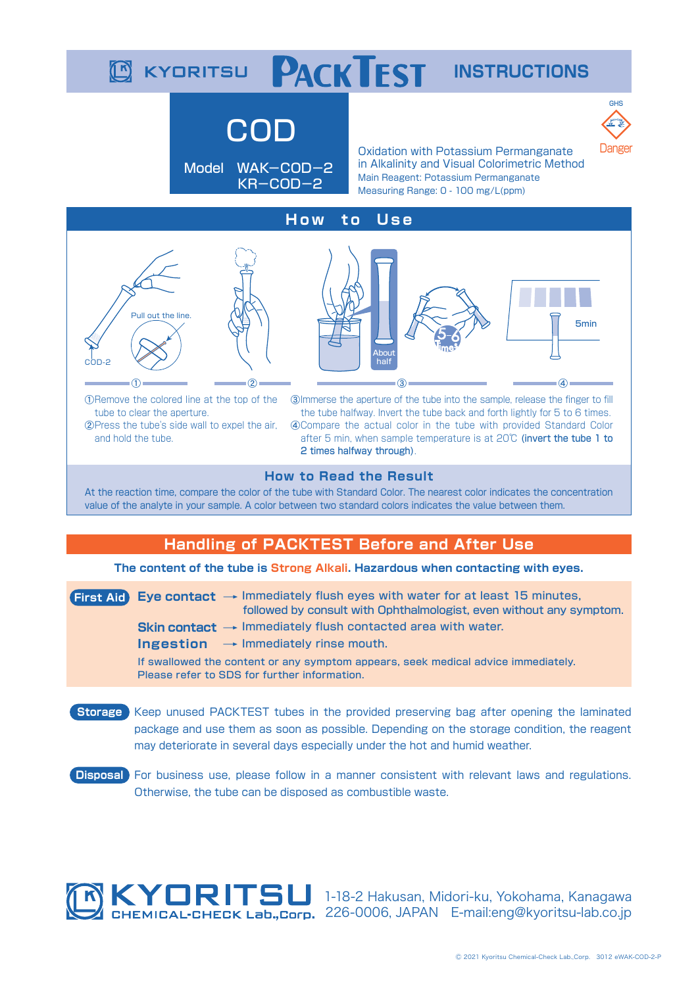# **INSTRUCTIONS**

# **COD**



Model WAK-COD-2 KR-COD-2

Oxidation with Potassium Permanganate in Alkalinity and Visual Colorimetric Method Main Reagent: Potassium Permanganate Measuring Range: 0 - 100 mg/L(ppm)

# **How to Use**









① Remove the colored line at the top of the tube to clear the aperture.

② Press the tube's side wall to expel the air, and hold the tube.

③ Immerse the aperture of the tube into the sample, release the finger to fill ④ Compare the actual color in the tube with provided Standard Color the tube halfway. Invert the tube back and forth lightly for 5 to 6 times. after 5 min, when sample temperature is at 20℃ (invert the tube 1 to 2 times halfway through).

5- 6

#### **How to Read the Result**

At the reaction time, compare the color of the tube with Standard Color. The nearest color indicates the concentration value of the analyte in your sample. A color between two standard colors indicates the value between them.

# **Handling of PACKTEST Before and After Use**

**The content of the tube is Strong Alkali. Hazardous when contacting with eyes.**

**First Aid** Eye contact → Immediately flush eyes with water for at least 15 minutes, followed by consult with Ophthalmologist, even without any symptom. **Skin contact** → Immediately flush contacted area with water. **Ingestion** → Immediately rinse mouth. If swallowed the content or any symptom appears, seek medical advice immediately. Please refer to SDS for further information. **Storage** Keep unused PACKTEST tubes in the provided preserving bag after opening the laminated

package and use them as soon as possible. Depending on the storage condition, the reagent may deteriorate in several days especially under the hot and humid weather.

**Disposal** For business use, please follow in a manner consistent with relevant laws and regulations. Otherwise, the tube can be disposed as combustible waste.



1-18-2 Hakusan, Midori-ku, Yokohama, Kanagawa 226-0006, JAPAN E-mail:eng@kyoritsu-lab.co.jp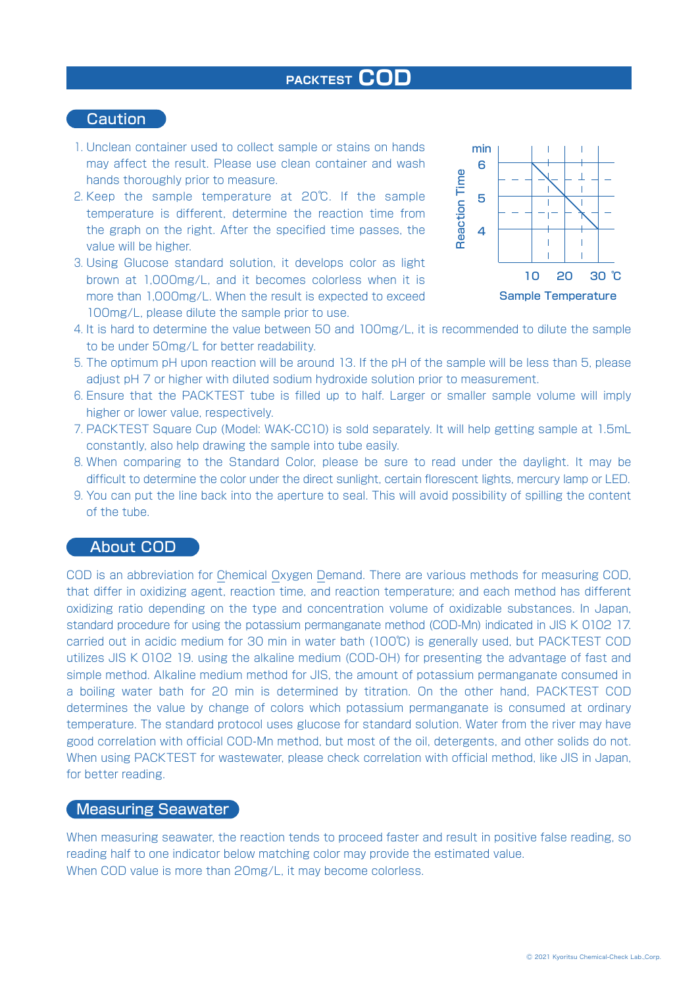## **PACKTEST COD**

#### **Caution**

- 1. Unclean container used to collect sample or stains on hands may affect the result. Please use clean container and wash hands thoroughly prior to measure.
- 2. Keep the sample temperature at 20℃. If the sample temperature is different, determine the reaction time from the graph on the right. After the specified time passes, the value will be higher.
- 3. Using Glucose standard solution, it develops color as light brown at 1,000mg/L, and it becomes colorless when it is more than 1,000mg/L. When the result is expected to exceed 100mg/L, please dilute the sample prior to use.



- 4. It is hard to determine the value between 50 and 100mg/L, it is recommended to dilute the sample to be under 50mg/L for better readability.
- 5. The optimum pH upon reaction will be around 13. If the pH of the sample will be less than 5, please adjust pH 7 or higher with diluted sodium hydroxide solution prior to measurement.
- 6. Ensure that the PACKTEST tube is filled up to half. Larger or smaller sample volume will imply higher or lower value, respectively.
- 7. PACKTEST Square Cup (Model: WAK-CC10) is sold separately. It will help getting sample at 1.5mL constantly, also help drawing the sample into tube easily.
- 8. When comparing to the Standard Color, please be sure to read under the daylight. It may be difficult to determine the color under the direct sunlight, certain florescent lights, mercury lamp or LED.
- 9. You can put the line back into the aperture to seal. This will avoid possibility of spilling the content of the tube.

### About COD

COD is an abbreviation for Chemical Oxygen Demand. There are various methods for measuring COD, that differ in oxidizing agent, reaction time, and reaction temperature; and each method has different oxidizing ratio depending on the type and concentration volume of oxidizable substances. In Japan, standard procedure for using the potassium permanganate method (COD-Mn) indicated in JIS K 0102 17. carried out in acidic medium for 30 min in water bath (100℃) is generally used, but PACKTEST COD utilizes JIS K 0102 19. using the alkaline medium (COD-OH) for presenting the advantage of fast and simple method. Alkaline medium method for JIS, the amount of potassium permanganate consumed in a boiling water bath for 20 min is determined by titration. On the other hand, PACKTEST COD determines the value by change of colors which potassium permanganate is consumed at ordinary temperature. The standard protocol uses glucose for standard solution. Water from the river may have good correlation with official COD-Mn method, but most of the oil, detergents, and other solids do not. When using PACKTEST for wastewater, please check correlation with official method, like JIS in Japan, for better reading.

#### **Measuring Seawater**

When measuring seawater, the reaction tends to proceed faster and result in positive false reading, so reading half to one indicator below matching color may provide the estimated value. When COD value is more than 20mg/L, it may become colorless.